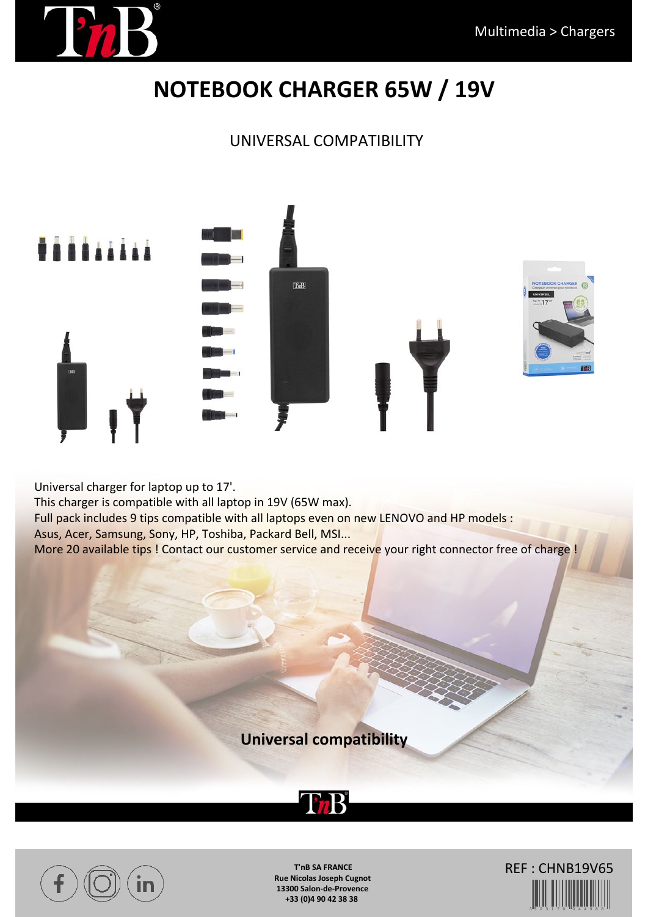

# **NOTEBOOK CHARGER 65W / 19V**

### UNIVERSAL COMPATIBILITY



Universal charger for laptop up to 17'. This charger is compatible with all laptop in 19V (65W max). Full pack includes 9 tips compatible with all laptops even on new LENOVO and HP models : Asus, Acer, Samsung, Sony, HP, Toshiba, Packard Bell, MSI... More 20 available tips ! Contact our customer service and receive your right connector free of charge !

**Universal compatibility**





**T'nB SA FRANCE Rue Nicolas Joseph Cugnot 13300 Salon-de-Provence +33 (0)4 90 42 38 38**